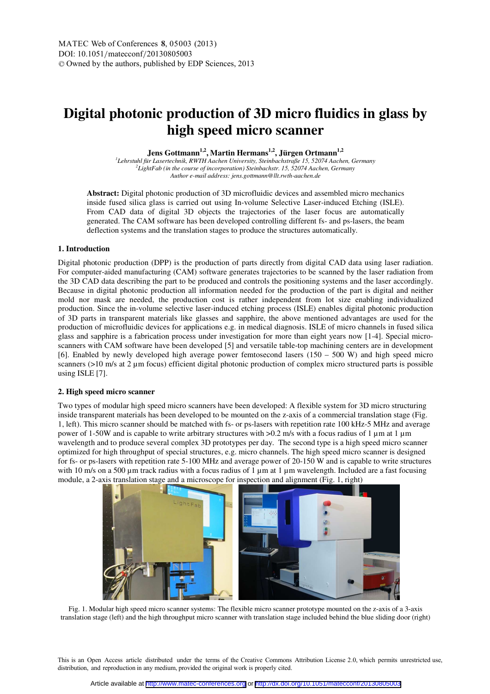# **Digital photonic production of 3D micro fluidics in glass by high speed micro scanner**

**Jens Gottmann1,2, Martin Hermans1,2, Jürgen Ortmann1,2** *1 Lehrstuhl für Lasertechnik, RWTH Aachen University, Steinbachstraße 15, 52074 Aachen, Germany 2 LightFab (in the course of incorporation) Steinbachstr. 15, 52074 Aachen, Germany Author e-mail address: jens.gottmann@llt.rwth-aachen.de* 

**Abstract:** Digital photonic production of 3D microfluidic devices and assembled micro mechanics inside fused silica glass is carried out using In-volume Selective Laser-induced Etching (ISLE). From CAD data of digital 3D objects the trajectories of the laser focus are automatically generated. The CAM software has been developed controlling different fs- and ps-lasers, the beam deflection systems and the translation stages to produce the structures automatically.

## **1. Introduction**

Digital photonic production (DPP) is the production of parts directly from digital CAD data using laser radiation. For computer-aided manufacturing (CAM) software generates trajectories to be scanned by the laser radiation from the 3D CAD data describing the part to be produced and controls the positioning systems and the laser accordingly. Because in digital photonic production all information needed for the production of the part is digital and neither mold nor mask are needed, the production cost is rather independent from lot size enabling individualized production. Since the in-volume selective laser-induced etching process (ISLE) enables digital photonic production of 3D parts in transparent materials like glasses and sapphire, the above mentioned advantages are used for the production of microfluidic devices for applications e.g. in medical diagnosis. ISLE of micro channels in fused silica glass and sapphire is a fabrication process under investigation for more than eight years now [1-4]. Special microscanners with CAM software have been developed [5] and versatile table-top machining centers are in development [6]. Enabled by newly developed high average power femtosecond lasers (150 – 500 W) and high speed micro scanners (>10 m/s at 2 µm focus) efficient digital photonic production of complex micro structured parts is possible using ISLE [7].

#### **2. High speed micro scanner**

Two types of modular high speed micro scanners have been developed: A flexible system for 3D micro structuring inside transparent materials has been developed to be mounted on the z-axis of a commercial translation stage (Fig. 1, left). This micro scanner should be matched with fs- or ps-lasers with repetition rate 100 kHz-5 MHz and average power of 1-50W and is capable to write arbitrary structures with >0.2 m/s with a focus radius of 1 µm at 1 µm wavelength and to produce several complex 3D prototypes per day. The second type is a high speed micro scanner optimized for high throughput of special structures, e.g. micro channels. The high speed micro scanner is designed for fs- or ps-lasers with repetition rate 5-100 MHz and average power of 20-150 W and is capable to write structures with 10 m/s on a 500 µm track radius with a focus radius of 1 µm at 1 µm wavelength. Included are a fast focusing module, a 2-axis translation stage and a microscope for inspection and alignment (Fig. 1, right)



Fig. 1. Modular high speed micro scanner systems: The flexible micro scanner prototype mounted on the z-axis of a 3-axis translation stage (left) and the high throughput micro scanner with translation stage included behind the blue sliding door (right)

This is an Open Access article distributed under the terms of the Creative Commons Attribution License 2.0, which permits unrestricted use, distribution, and reproduction in any medium, provided the original work is properly cited.